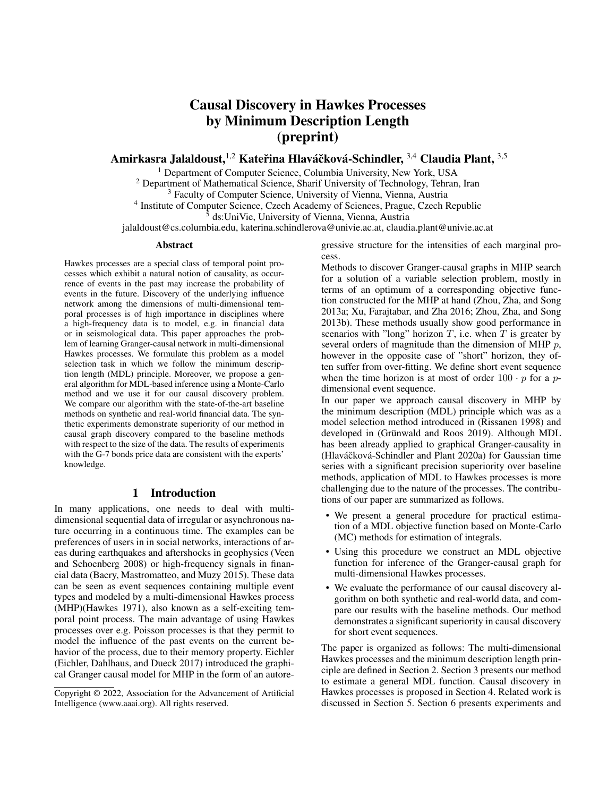# Causal Discovery in Hawkes Processes by Minimum Description Length (preprint)

Amirkasra Jalaldoust, $^{1,2}$  Kateřina Hlaváčková-Schindler,  $^{3,4}$  Claudia Plant,  $^{3,5}$ 

<sup>1</sup> Department of Computer Science, Columbia University, New York, USA

<sup>2</sup> Department of Mathematical Science, Sharif University of Technology, Tehran, Iran

<sup>3</sup> Faculty of Computer Science, University of Vienna, Vienna, Austria

<sup>4</sup> Institute of Computer Science, Czech Academy of Sciences, Prague, Czech Republic

<sup>5</sup> ds:UniVie, University of Vienna, Vienna, Austria

jalaldoust@cs.columbia.edu, katerina.schindlerova@univie.ac.at, claudia.plant@univie.ac.at

#### Abstract

Hawkes processes are a special class of temporal point processes which exhibit a natural notion of causality, as occurrence of events in the past may increase the probability of events in the future. Discovery of the underlying influence network among the dimensions of multi-dimensional temporal processes is of high importance in disciplines where a high-frequency data is to model, e.g. in financial data or in seismological data. This paper approaches the problem of learning Granger-causal network in multi-dimensional Hawkes processes. We formulate this problem as a model selection task in which we follow the minimum description length (MDL) principle. Moreover, we propose a general algorithm for MDL-based inference using a Monte-Carlo method and we use it for our causal discovery problem. We compare our algorithm with the state-of-the-art baseline methods on synthetic and real-world financial data. The synthetic experiments demonstrate superiority of our method in causal graph discovery compared to the baseline methods with respect to the size of the data. The results of experiments with the G-7 bonds price data are consistent with the experts' knowledge.

# 1 Introduction

In many applications, one needs to deal with multidimensional sequential data of irregular or asynchronous nature occurring in a continuous time. The examples can be preferences of users in in social networks, interactions of areas during earthquakes and aftershocks in geophysics (Veen and Schoenberg 2008) or high-frequency signals in financial data (Bacry, Mastromatteo, and Muzy 2015). These data can be seen as event sequences containing multiple event types and modeled by a multi-dimensional Hawkes process (MHP)(Hawkes 1971), also known as a self-exciting temporal point process. The main advantage of using Hawkes processes over e.g. Poisson processes is that they permit to model the influence of the past events on the current behavior of the process, due to their memory property. Eichler (Eichler, Dahlhaus, and Dueck 2017) introduced the graphical Granger causal model for MHP in the form of an autoregressive structure for the intensities of each marginal process.

Methods to discover Granger-causal graphs in MHP search for a solution of a variable selection problem, mostly in terms of an optimum of a corresponding objective function constructed for the MHP at hand (Zhou, Zha, and Song 2013a; Xu, Farajtabar, and Zha 2016; Zhou, Zha, and Song 2013b). These methods usually show good performance in scenarios with "long" horizon  $T$ , i.e. when  $T$  is greater by several orders of magnitude than the dimension of MHP  $p$ , however in the opposite case of "short" horizon, they often suffer from over-fitting. We define short event sequence when the time horizon is at most of order  $100 \cdot p$  for a pdimensional event sequence.

In our paper we approach causal discovery in MHP by the minimum description (MDL) principle which was as a model selection method introduced in (Rissanen 1998) and developed in (Grünwald and Roos 2019). Although MDL has been already applied to graphical Granger-causality in (Hlaváčková-Schindler and Plant 2020a) for Gaussian time series with a significant precision superiority over baseline methods, application of MDL to Hawkes processes is more challenging due to the nature of the processes. The contributions of our paper are summarized as follows.

- We present a general procedure for practical estimation of a MDL objective function based on Monte-Carlo (MC) methods for estimation of integrals.
- Using this procedure we construct an MDL objective function for inference of the Granger-causal graph for multi-dimensional Hawkes processes.
- We evaluate the performance of our causal discovery algorithm on both synthetic and real-world data, and compare our results with the baseline methods. Our method demonstrates a significant superiority in causal discovery for short event sequences.

The paper is organized as follows: The multi-dimensional Hawkes processes and the minimum description length principle are defined in Section 2. Section 3 presents our method to estimate a general MDL function. Causal discovery in Hawkes processes is proposed in Section 4. Related work is discussed in Section 5. Section 6 presents experiments and

Copyright © 2022, Association for the Advancement of Artificial Intelligence (www.aaai.org). All rights reserved.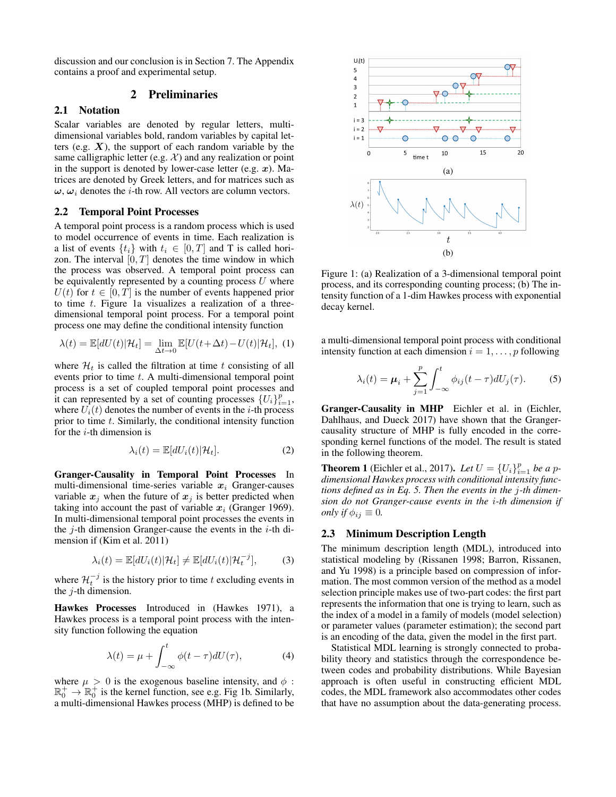discussion and our conclusion is in Section 7. The Appendix contains a proof and experimental setup.

# 2 Preliminaries

## 2.1 Notation

Scalar variables are denoted by regular letters, multidimensional variables bold, random variables by capital letters (e.g.  $X$ ), the support of each random variable by the same calligraphic letter (e.g.  $\mathcal{X}$ ) and any realization or point in the support is denoted by lower-case letter (e.g.  $x$ ). Matrices are denoted by Greek letters, and for matrices such as  $\omega$ ,  $\omega_i$  denotes the *i*-th row. All vectors are column vectors.

### 2.2 Temporal Point Processes

A temporal point process is a random process which is used to model occurrence of events in time. Each realization is a list of events  $\{t_i\}$  with  $t_i \in [0, T]$  and T is called horizon. The interval  $[0, T]$  denotes the time window in which the process was observed. A temporal point process can be equivalently represented by a counting process  $U$  where  $U(t)$  for  $t \in [0, T]$  is the number of events happened prior to time  $t$ . Figure 1a visualizes a realization of a threedimensional temporal point process. For a temporal point process one may define the conditional intensity function

$$
\lambda(t) = \mathbb{E}[dU(t)|\mathcal{H}_t] = \lim_{\Delta t \to 0} \mathbb{E}[U(t + \Delta t) - U(t)|\mathcal{H}_t], \tag{1}
$$

where  $\mathcal{H}_t$  is called the filtration at time t consisting of all events prior to time  $t$ . A multi-dimensional temporal point process is a set of coupled temporal point processes and it can represented by a set of counting processes  ${U_i}_{i=1}^p$ , where  $U_i(t)$  denotes the number of events in the *i*-th process prior to time  $t$ . Similarly, the conditional intensity function for the  $i$ -th dimension is

$$
\lambda_i(t) = \mathbb{E}[dU_i(t)|\mathcal{H}_t].
$$
\n(2)

Granger-Causality in Temporal Point Processes In multi-dimensional time-series variable  $x_i$  Granger-causes variable  $x_j$  when the future of  $x_j$  is better predicted when taking into account the past of variable  $x_i$  (Granger 1969). In multi-dimensional temporal point processes the events in the  $j$ -th dimension Granger-cause the events in the  $i$ -th dimension if (Kim et al. 2011)

$$
\lambda_i(t) = \mathbb{E}[dU_i(t)|\mathcal{H}_t] \neq \mathbb{E}[dU_i(t)|\mathcal{H}_t^{-j}],\tag{3}
$$

where  $\mathcal{H}_t^{-j}$  is the history prior to time t excluding events in the  $j$ -th dimension.

Hawkes Processes Introduced in (Hawkes 1971), a Hawkes process is a temporal point process with the intensity function following the equation

$$
\lambda(t) = \mu + \int_{-\infty}^{t} \phi(t - \tau) dU(\tau), \tag{4}
$$

where  $\mu > 0$  is the exogenous baseline intensity, and  $\phi$ :  $\mathbb{R}_0^+$   $\rightarrow$   $\mathbb{R}_0^+$  is the kernel function, see e.g. Fig 1b. Similarly, a multi-dimensional Hawkes process (MHP) is defined to be



Figure 1: (a) Realization of a 3-dimensional temporal point process, and its corresponding counting process; (b) The intensity function of a 1-dim Hawkes process with exponential decay kernel.

a multi-dimensional temporal point process with conditional intensity function at each dimension  $i = 1, \ldots, p$  following

$$
\lambda_i(t) = \mu_i + \sum_{j=1}^p \int_{-\infty}^t \phi_{ij}(t-\tau) dU_j(\tau). \tag{5}
$$

Granger-Causality in MHP Eichler et al. in (Eichler, Dahlhaus, and Dueck 2017) have shown that the Grangercausality structure of MHP is fully encoded in the corresponding kernel functions of the model. The result is stated in the following theorem.

**Theorem 1** (Eichler et al., 2017). Let  $U = \{U_i\}_{i=1}^p$  be a p*dimensional Hawkes process with conditional intensity functions defined as in Eq. 5. Then the events in the* j*-th dimension do not Granger-cause events in the* i*-th dimension if only if*  $\phi_{ij} \equiv 0$ *.* 

### 2.3 Minimum Description Length

The minimum description length (MDL), introduced into statistical modeling by (Rissanen 1998; Barron, Rissanen, and Yu 1998) is a principle based on compression of information. The most common version of the method as a model selection principle makes use of two-part codes: the first part represents the information that one is trying to learn, such as the index of a model in a family of models (model selection) or parameter values (parameter estimation); the second part is an encoding of the data, given the model in the first part.

Statistical MDL learning is strongly connected to probability theory and statistics through the correspondence between codes and probability distributions. While Bayesian approach is often useful in constructing efficient MDL codes, the MDL framework also accommodates other codes that have no assumption about the data-generating process.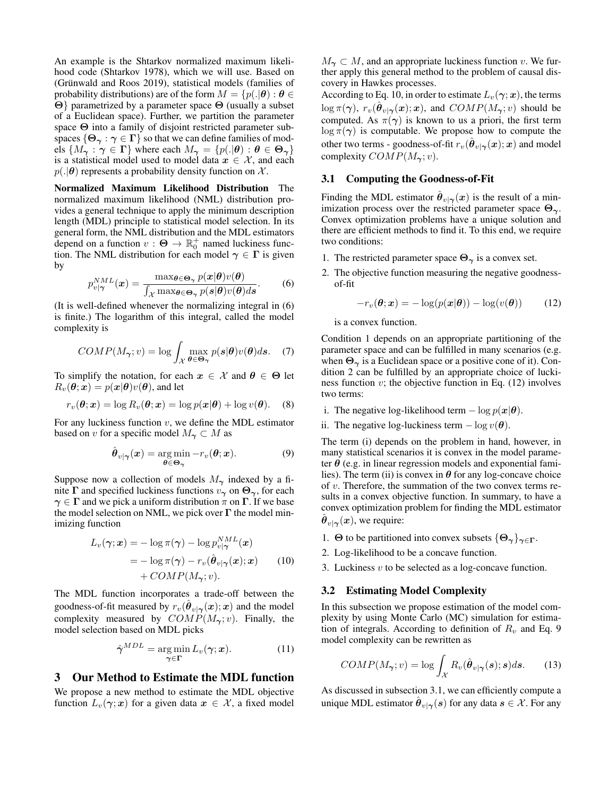An example is the Shtarkov normalized maximum likelihood code (Shtarkov 1978), which we will use. Based on (Grünwald and Roos 2019), statistical models (families of probability distributions) are of the form  $M = \{p(.|\theta) : \theta \in$ Θ} parametrized by a parameter space Θ (usually a subset of a Euclidean space). Further, we partition the parameter space Θ into a family of disjoint restricted parameter subspaces  $\{\Theta_{\gamma} : \gamma \in \Gamma\}$  so that we can define families of models  $\{M_{\gamma} : \gamma \in \Gamma\}$  where each  $M_{\gamma} = \{p(.|\theta) : \theta \in \Theta_{\gamma}\}\$ is a statistical model used to model data  $x \in \mathcal{X}$ , and each  $p(.|\theta)$  represents a probability density function on X.

Normalized Maximum Likelihood Distribution The normalized maximum likelihood (NML) distribution provides a general technique to apply the minimum description length (MDL) principle to statistical model selection. In its general form, the NML distribution and the MDL estimators depend on a function  $v : \Theta \to \mathbb{R}_0^+$  named luckiness function. The NML distribution for each model  $\gamma \in \Gamma$  is given by

$$
p_{v|\gamma}^{NML}(\boldsymbol{x}) = \frac{\max_{\boldsymbol{\theta} \in \boldsymbol{\Theta}_{\gamma}} p(\boldsymbol{x}|\boldsymbol{\theta}) v(\boldsymbol{\theta})}{\int_{\mathcal{X}} \max_{\boldsymbol{\theta} \in \boldsymbol{\Theta}_{\gamma}} p(\boldsymbol{s}|\boldsymbol{\theta}) v(\boldsymbol{\theta}) d\boldsymbol{s}}.
$$
 (6)

(It is well-defined whenever the normalizing integral in (6) is finite.) The logarithm of this integral, called the model complexity is

$$
COMP(M_{\gamma};v)=\log\int_{\mathcal{X}}\max_{\theta\in\Theta_{\gamma}}p(s|\theta)v(\theta)ds. \quad (7)
$$

To simplify the notation, for each  $x \in \mathcal{X}$  and  $\theta \in \Theta$  let  $R_v(\theta; \mathbf{x}) = p(\mathbf{x}|\theta)v(\theta)$ , and let

$$
r_v(\boldsymbol{\theta}; \boldsymbol{x}) = \log R_v(\boldsymbol{\theta}; \boldsymbol{x}) = \log p(\boldsymbol{x}|\boldsymbol{\theta}) + \log v(\boldsymbol{\theta}).
$$
 (8)

For any luckiness function  $v$ , we define the MDL estimator based on v for a specific model  $M_{\gamma} \subset M$  as

$$
\hat{\boldsymbol{\theta}}_{v|\boldsymbol{\gamma}}(\boldsymbol{x}) = \underset{\boldsymbol{\theta} \in \boldsymbol{\Theta}_{\boldsymbol{\gamma}}}{\arg \min} -r_v(\boldsymbol{\theta}; \boldsymbol{x}). \tag{9}
$$

Suppose now a collection of models  $M_{\gamma}$  indexed by a finite  $\Gamma$  and specified luckiness functions  $v_{\gamma}$  on  $\Theta_{\gamma}$ , for each  $\gamma \in \Gamma$  and we pick a uniform distribution  $\pi$  on  $\Gamma$ . If we base the model selection on NML, we pick over  $\Gamma$  the model minimizing function

$$
L_v(\gamma; \mathbf{x}) = -\log \pi(\gamma) - \log p_{v|\gamma}^{NML}(\mathbf{x})
$$
  
=  $-\log \pi(\gamma) - r_v(\hat{\boldsymbol{\theta}}_{v|\gamma}(\mathbf{x}); \mathbf{x})$  (10)  
+  $COMP(M_{\gamma}; v).$ 

The MDL function incorporates a trade-off between the goodness-of-fit measured by  $r_v(\hat{\boldsymbol{\theta}}_{v|\boldsymbol{\gamma}}(\boldsymbol{x});\boldsymbol{x})$  and the model complexity measured by  $COMP(M_{\gamma}; v)$ . Finally, the model selection based on MDL picks

$$
\hat{\boldsymbol{\gamma}}^{MDL} = \underset{\boldsymbol{\gamma} \in \boldsymbol{\Gamma}}{\arg \min} L_v(\boldsymbol{\gamma}; \boldsymbol{x}). \tag{11}
$$

3 Our Method to Estimate the MDL function

We propose a new method to estimate the MDL objective function  $L_v(\gamma; x)$  for a given data  $x \in \mathcal{X}$ , a fixed model  $M_{\gamma} \subset M$ , and an appropriate luckiness function v. We further apply this general method to the problem of causal discovery in Hawkes processes.

According to Eq. 10, in order to estimate  $L_v(\gamma; x)$ , the terms  $\log \pi(\gamma)$ ,  $r_v(\hat{\theta}_{v | \gamma}(\bm{x}); \bm{x})$ , and  $COMP(M_{\bm{\gamma}}; v)$  should be computed. As  $\pi(\gamma)$  is known to us a priori, the first term  $\log \pi(\gamma)$  is computable. We propose how to compute the other two terms - goodness-of-fit  $r_v(\hat{\boldsymbol{\theta}}_{v|\boldsymbol{\gamma}}(\boldsymbol{x});\boldsymbol{x})$  and model complexity  $COMP(M_{\gamma}; v)$ .

# 3.1 Computing the Goodness-of-Fit

Finding the MDL estimator  $\hat{\theta}_{v|\gamma}(x)$  is the result of a minimization process over the restricted parameter space  $\Theta_{\gamma}$ . Convex optimization problems have a unique solution and there are efficient methods to find it. To this end, we require two conditions:

- 1. The restricted parameter space  $\Theta_{\gamma}$  is a convex set.
- 2. The objective function measuring the negative goodnessof-fit

$$
-r_v(\boldsymbol{\theta}; \boldsymbol{x}) = -\log(p(\boldsymbol{x}|\boldsymbol{\theta})) - \log(v(\boldsymbol{\theta})) \qquad (12)
$$

is a convex function.

Condition 1 depends on an appropriate partitioning of the parameter space and can be fulfilled in many scenarios (e.g. when  $\Theta_{\gamma}$  is a Euclidean space or a positive cone of it). Condition 2 can be fulfilled by an appropriate choice of luckiness function  $v$ ; the objective function in Eq. (12) involves two terms:

- i. The negative log-likelihood term  $-\log p(\mathbf{x}|\boldsymbol{\theta})$ .
- ii. The negative log-luckiness term  $-\log v(\theta)$ .

The term (i) depends on the problem in hand, however, in many statistical scenarios it is convex in the model parameter  $\theta$  (e.g. in linear regression models and exponential families). The term (ii) is convex in  $\theta$  for any log-concave choice of  $v$ . Therefore, the summation of the two convex terms results in a convex objective function. In summary, to have a convex optimization problem for finding the MDL estimator  $\hat{\boldsymbol{\theta}}_{v|\boldsymbol{\gamma}}(\boldsymbol{x})$ , we require:

- 1. Θ to be partitioned into convex subsets  $\{\Theta_{\gamma}\}_{\gamma \in \Gamma}$ .
- 2. Log-likelihood to be a concave function.
- 3. Luckiness  $v$  to be selected as a log-concave function.

### 3.2 Estimating Model Complexity

In this subsection we propose estimation of the model complexity by using Monte Carlo (MC) simulation for estimation of integrals. According to definition of  $R_v$  and Eq. 9 model complexity can be rewritten as

$$
COMP(M_{\boldsymbol{\gamma}};v)=\log\int_{\mathcal{X}}R_{v}(\hat{\boldsymbol{\theta}}_{v|\boldsymbol{\gamma}}(\boldsymbol{s});\boldsymbol{s})d\boldsymbol{s}.\qquad(13)
$$

As discussed in subsection 3.1, we can efficiently compute a unique MDL estimator  $\hat{\theta}_{v|\gamma}(s)$  for any data  $s \in \mathcal{X}$ . For any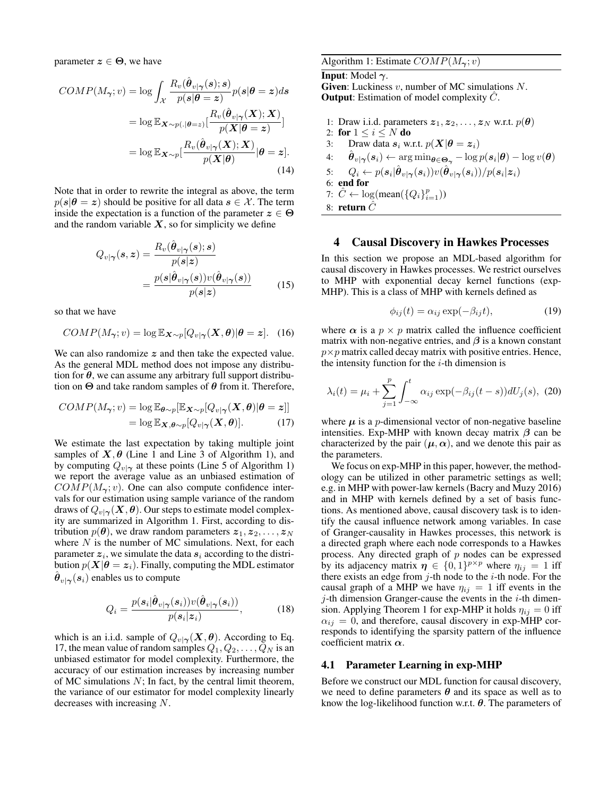parameter  $z \in \Theta$ , we have

$$
COMP(M_{\gamma};v) = \log \int_{\mathcal{X}} \frac{R_{v}(\hat{\theta}_{v|\gamma}(s);s)}{p(s|\theta = z)} p(s|\theta = z) ds
$$

$$
= \log \mathbb{E}_{\mathbf{X} \sim p(.|\theta = z)} \left[ \frac{R_{v}(\hat{\theta}_{v|\gamma}(\mathbf{X});\mathbf{X})}{p(\mathbf{X}|\theta = z)} \right]
$$

$$
= \log \mathbb{E}_{\mathbf{X} \sim p} \left[ \frac{R_{v}(\hat{\theta}_{v|\gamma}(\mathbf{X});\mathbf{X})}{p(\mathbf{X}|\theta)} | \theta = z \right].
$$
(14)

Note that in order to rewrite the integral as above, the term  $p(s|\theta = z)$  should be positive for all data  $s \in \mathcal{X}$ . The term inside the expectation is a function of the parameter  $z \in \Theta$ and the random variable  $X$ , so for simplicity we define

$$
Q_{v|\gamma}(s,z) = \frac{R_v(\hat{\boldsymbol{\theta}}_{v|\gamma}(s);s)}{p(s|z)}
$$

$$
= \frac{p(s|\hat{\boldsymbol{\theta}}_{v|\gamma}(s))v(\hat{\boldsymbol{\theta}}_{v|\gamma}(s))}{p(s|z)} \tag{15}
$$

so that we have

$$
COMP(M_{\boldsymbol{\gamma}};v)=\log \mathbb{E}_{\boldsymbol{X}\sim p}[Q_{v|\boldsymbol{\gamma}}(\boldsymbol{X},\boldsymbol{\theta})|\boldsymbol{\theta}=\boldsymbol{z}].\quad(16)
$$

We can also randomize  $z$  and then take the expected value. As the general MDL method does not impose any distribution for  $\theta$ , we can assume any arbitrary full support distribution on  $\Theta$  and take random samples of  $\theta$  from it. Therefore,

$$
COMP(M_{\gamma};v) = \log \mathbb{E}_{\boldsymbol{\theta} \sim p}[\mathbb{E}_{\boldsymbol{X} \sim p}[Q_{v|\gamma}(\boldsymbol{X},\boldsymbol{\theta})|\boldsymbol{\theta} = z]]
$$
  
=  $\log \mathbb{E}_{\boldsymbol{X},\boldsymbol{\theta} \sim p}[Q_{v|\gamma}(\boldsymbol{X},\boldsymbol{\theta})].$  (17)

We estimate the last expectation by taking multiple joint samples of  $X, \theta$  (Line 1 and Line 3 of Algorithm 1), and by computing  $Q_{v|\gamma}$  at these points (Line 5 of Algorithm 1) we report the average value as an unbiased estimation of  $COMP(M_{\gamma};v)$ . One can also compute confidence intervals for our estimation using sample variance of the random draws of  $Q_{v|\gamma}(\mathbf{X}, \boldsymbol{\theta})$ . Our steps to estimate model complexity are summarized in Algorithm 1. First, according to distribution  $p(\theta)$ , we draw random parameters  $z_1, z_2, \ldots, z_N$ where  $N$  is the number of MC simulations. Next, for each parameter  $z_i$ , we simulate the data  $s_i$  according to the distribution  $p(X|\theta = z_i)$ . Finally, computing the MDL estimator  $\hat{\boldsymbol{\theta}}_{v|\boldsymbol{\gamma}}(\boldsymbol{s}_i)$  enables us to compute

$$
Q_i = \frac{p(\mathbf{s}_i|\hat{\boldsymbol{\theta}}_{v|\boldsymbol{\gamma}}(\mathbf{s}_i))v(\hat{\boldsymbol{\theta}}_{v|\boldsymbol{\gamma}}(\mathbf{s}_i))}{p(\mathbf{s}_i|\mathbf{z}_i)},
$$
(18)

which is an i.i.d. sample of  $Q_{v|\gamma}(\mathbf{X}, \boldsymbol{\theta})$ . According to Eq. 17, the mean value of random samples  $Q_1, Q_2, \ldots, Q_N$  is an unbiased estimator for model complexity. Furthermore, the accuracy of our estimation increases by increasing number of MC simulations  $N$ ; In fact, by the central limit theorem, the variance of our estimator for model complexity linearly decreases with increasing N.

Algorithm 1: Estimate  $COMP(M_{\gamma};v)$ 

# **Input:** Model  $\gamma$ .

**Given:** Luckiness  $v$ , number of MC simulations  $N$ . **Output:** Estimation of model complexity  $\ddot{C}$ .

1: Draw i.i.d. parameters  $z_1, z_2, \ldots, z_N$  w.r.t.  $p(\theta)$ 2: for  $1 \le i \le N$  do 3: Draw data  $s_i$  w.r.t.  $p(X|\theta = z_i)$ 4:  $\hat{\boldsymbol{\theta}}_{v|\boldsymbol{\gamma}}(\boldsymbol{s}_i) \leftarrow \arg \min_{\boldsymbol{\theta} \in \boldsymbol{\Theta}_{\boldsymbol{\gamma}}} -\log p(\boldsymbol{s}_i|\boldsymbol{\theta}) - \log v(\boldsymbol{\theta})$ 5:  $Q_i \leftarrow p(\boldsymbol{s}_i | \hat{\boldsymbol{\theta}}_{v | \boldsymbol{\gamma}}(\boldsymbol{s}_i)) v(\hat{\boldsymbol{\theta}}_{v | \boldsymbol{\gamma}}(\boldsymbol{s}_i)) / p(\boldsymbol{s}_i | \boldsymbol{z}_i)$ 6: end for 7:  $\hat{C} \leftarrow \log(\text{mean}(\{Q_i\}_{i=1}^p))$ 8: return  $\tilde{C}$ 

### 4 Causal Discovery in Hawkes Processes

In this section we propose an MDL-based algorithm for causal discovery in Hawkes processes. We restrict ourselves to MHP with exponential decay kernel functions (exp-MHP). This is a class of MHP with kernels defined as

$$
\phi_{ij}(t) = \alpha_{ij} \exp(-\beta_{ij}t), \qquad (19)
$$

where  $\alpha$  is a  $p \times p$  matrix called the influence coefficient matrix with non-negative entries, and  $\beta$  is a known constant  $p \times p$  matrix called decay matrix with positive entries. Hence, the intensity function for the  $i$ -th dimension is

$$
\lambda_i(t) = \mu_i + \sum_{j=1}^p \int_{-\infty}^t \alpha_{ij} \exp(-\beta_{ij}(t-s)) dU_j(s), \tag{20}
$$

where  $\mu$  is a *p*-dimensional vector of non-negative baseline intensities. Exp-MHP with known decay matrix  $\beta$  can be characterized by the pair  $(\mu, \alpha)$ , and we denote this pair as the parameters.

We focus on exp-MHP in this paper, however, the methodology can be utilized in other parametric settings as well; e.g. in MHP with power-law kernels (Bacry and Muzy 2016) and in MHP with kernels defined by a set of basis functions. As mentioned above, causal discovery task is to identify the causal influence network among variables. In case of Granger-causality in Hawkes processes, this network is a directed graph where each node corresponds to a Hawkes process. Any directed graph of  $p$  nodes can be expressed by its adjacency matrix  $\eta \in \{0,1\}^{p \times p}$  where  $\eta_{ij} = 1$  iff there exists an edge from  $j$ -th node to the  $i$ -th node. For the causal graph of a MHP we have  $\eta_{ij} = 1$  iff events in the  $j$ -th dimension Granger-cause the events in the  $i$ -th dimension. Applying Theorem 1 for exp-MHP it holds  $\eta_{ij} = 0$  iff  $\alpha_{ij} = 0$ , and therefore, causal discovery in exp-MHP corresponds to identifying the sparsity pattern of the influence coefficient matrix  $\alpha$ .

### 4.1 Parameter Learning in exp-MHP

Before we construct our MDL function for causal discovery, we need to define parameters  $\theta$  and its space as well as to know the log-likelihood function w.r.t.  $\theta$ . The parameters of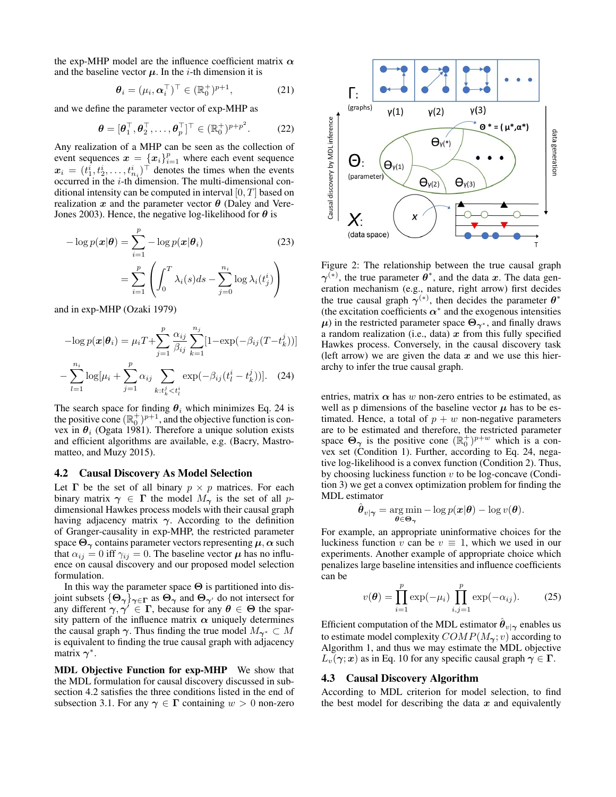the exp-MHP model are the influence coefficient matrix  $\alpha$ and the baseline vector  $\mu$ . In the *i*-th dimension it is

$$
\boldsymbol{\theta}_i = (\mu_i, \boldsymbol{\alpha}_i^\top)^\top \in (\mathbb{R}_0^+)^{p+1},\tag{21}
$$

and we define the parameter vector of exp-MHP as

$$
\boldsymbol{\theta} = [\boldsymbol{\theta}_1^\top, \boldsymbol{\theta}_2^\top, \dots, \boldsymbol{\theta}_p^\top]^\top \in (\mathbb{R}_0^+)^{p+p^2}.
$$
 (22)

Any realization of a MHP can be seen as the collection of event sequences  $\mathbf{x} = \{x_i\}_{i=1}^p$  where each event sequence  $x_i = (t_1^i, t_2^i, \dots, t_{n_i}^i)^\top$  denotes the times when the events occurred in the i-th dimension. The multi-dimensional conditional intensity can be computed in interval  $[0, T]$  based on realization x and the parameter vector  $\theta$  (Daley and Vere-Jones 2003). Hence, the negative log-likelihood for  $\theta$  is

$$
-\log p(\boldsymbol{x}|\boldsymbol{\theta}) = \sum_{i=1}^{p} -\log p(\boldsymbol{x}|\boldsymbol{\theta}_{i})
$$
(23)  

$$
= \sum_{i=1}^{p} \left( \int_{0}^{T} \lambda_{i}(s)ds - \sum_{j=0}^{n_{i}} \log \lambda_{i}(t_{j}^{i}) \right)
$$

and in exp-MHP (Ozaki 1979)

$$
-\log p(\mathbf{x}|\boldsymbol{\theta}_{i}) = \mu_{i}T + \sum_{j=1}^{p} \frac{\alpha_{ij}}{\beta_{ij}} \sum_{k=1}^{n_{j}} [1 - \exp(-\beta_{ij}(T - t_{k}^{j}))]
$$

$$
- \sum_{l=1}^{n_{i}} \log[\mu_{i} + \sum_{j=1}^{p} \alpha_{ij} \sum_{k:t_{k}^{j} < t_{l}^{i}} \exp(-\beta_{ij}(t_{l}^{i} - t_{k}^{j}))].
$$
 (24)

The search space for finding  $\theta_i$  which minimizes Eq. 24 is the positive cone  $(\mathbb{R}_0^+)^{p+1}$ , and the objective function is convex in  $\theta_i$  (Ogata 1981). Therefore a unique solution exists and efficient algorithms are available, e.g. (Bacry, Mastromatteo, and Muzy 2015).

### 4.2 Causal Discovery As Model Selection

Let  $\Gamma$  be the set of all binary  $p \times p$  matrices. For each binary matrix  $\gamma \in \Gamma$  the model  $M_{\gamma}$  is the set of all pdimensional Hawkes process models with their causal graph having adjacency matrix  $\gamma$ . According to the definition of Granger-causality in exp-MHP, the restricted parameter space  $\Theta_{\gamma}$  contains parameter vectors representing  $\mu, \alpha$  such that  $\alpha_{ij} = 0$  iff  $\gamma_{ij} = 0$ . The baseline vector  $\mu$  has no influence on causal discovery and our proposed model selection formulation.

In this way the parameter space  $\Theta$  is partitioned into disjoint subsets  $\{\Theta_{\gamma}\}_{\gamma \in \Gamma}$  as  $\Theta_{\gamma}$  and  $\Theta_{\gamma'}$  do not intersect for any different  $\gamma, \gamma' \in \Gamma$ , because for any  $\theta \in \Theta$  the sparsity pattern of the influence matrix  $\alpha$  uniquely determines the causal graph  $\gamma$ . Thus finding the true model  $M_{\gamma^*} \subset M$ is equivalent to finding the true causal graph with adjacency matrix  $\gamma^*$ .

MDL Objective Function for exp-MHP We show that the MDL formulation for causal discovery discussed in subsection 4.2 satisfies the three conditions listed in the end of subsection 3.1. For any  $\gamma \in \Gamma$  containing  $w > 0$  non-zero



Figure 2: The relationship between the true causal graph  $\gamma^{(*)}$ , the true parameter  $\theta^*$ , and the data x. The data generation mechanism (e.g., nature, right arrow) first decides the true causal graph  $\gamma^{(*)}$ , then decides the parameter  $\theta^*$ (the excitation coefficients  $\alpha^*$  and the exogenous intensities  $\mu$ ) in the restricted parameter space  $\Theta_{\gamma^*}$ , and finally draws a random realization (i.e., data)  $x$  from this fully specified Hawkes process. Conversely, in the causal discovery task (left arrow) we are given the data  $x$  and we use this hierarchy to infer the true causal graph.

entries, matrix  $\alpha$  has w non-zero entries to be estimated, as well as p dimensions of the baseline vector  $\mu$  has to be estimated. Hence, a total of  $p + w$  non-negative parameters are to be estimated and therefore, the restricted parameter space  $\Theta_{\gamma}$  is the positive cone  $(\mathbb{R}^+_0)^{p+w}$  which is a convex set (Condition 1). Further, according to Eq. 24, negative log-likelihood is a convex function (Condition 2). Thus, by choosing luckiness function  $v$  to be log-concave (Condition 3) we get a convex optimization problem for finding the MDL estimator

$$
\hat{\boldsymbol{\theta}}_{v|\boldsymbol{\gamma}} = \argmin_{\boldsymbol{\theta} \in \boldsymbol{\Theta}_{\boldsymbol{\gamma}}} -\log p(\boldsymbol{x}|\boldsymbol{\theta}) - \log v(\boldsymbol{\theta}).
$$

For example, an appropriate uninformative choices for the luckiness function v can be  $v \equiv 1$ , which we used in our experiments. Another example of appropriate choice which penalizes large baseline intensities and influence coefficients can be

$$
v(\theta) = \prod_{i=1}^{p} \exp(-\mu_i) \prod_{i,j=1}^{p} \exp(-\alpha_{ij}).
$$
 (25)

Efficient computation of the MDL estimator  $\hat{\boldsymbol{\theta}}_{v|\boldsymbol{\gamma}}$  enables us to estimate model complexity  $COMP(M_{\gamma}; v)$  according to Algorithm 1, and thus we may estimate the MDL objective  $L_v(\gamma; \mathbf{x})$  as in Eq. 10 for any specific causal graph  $\gamma \in \Gamma$ .

### 4.3 Causal Discovery Algorithm

According to MDL criterion for model selection, to find the best model for describing the data  $x$  and equivalently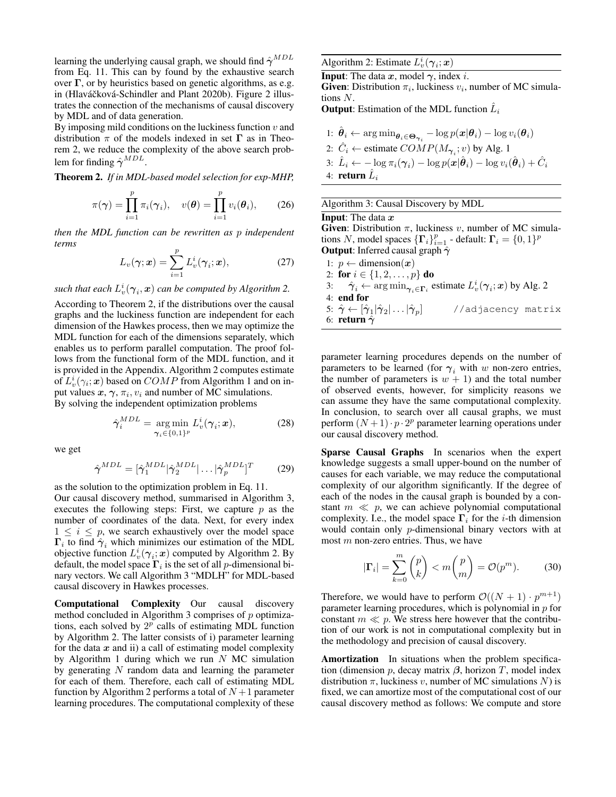learning the underlying causal graph, we should find  $\hat{\gamma}^{MDL}$ from Eq. 11. This can by found by the exhaustive search over  $\Gamma$ , or by heuristics based on genetic algorithms, as e.g. in (Hlaváčková-Schindler and Plant 2020b). Figure 2 illustrates the connection of the mechanisms of causal discovery by MDL and of data generation.

By imposing mild conditions on the luckiness function  $v$  and distribution  $\pi$  of the models indexed in set  $\Gamma$  as in Theorem 2, we reduce the complexity of the above search problem for finding  $\hat{\gamma}^{MDL}$ .

Theorem 2. *If in MDL-based model selection for exp-MHP,*

$$
\pi(\boldsymbol{\gamma}) = \prod_{i=1}^p \pi_i(\boldsymbol{\gamma}_i), \quad v(\boldsymbol{\theta}) = \prod_{i=1}^p v_i(\boldsymbol{\theta}_i), \qquad (26)
$$

*then the MDL function can be rewritten as* p *independent terms*

$$
L_v(\gamma; \mathbf{x}) = \sum_{i=1}^p L_v^i(\gamma_i; \mathbf{x}), \qquad (27)
$$

such that each  $L_v^i(\bm{\gamma}_i,\bm{x})$  can be computed by Algorithm 2.

According to Theorem 2, if the distributions over the causal graphs and the luckiness function are independent for each dimension of the Hawkes process, then we may optimize the MDL function for each of the dimensions separately, which enables us to perform parallel computation. The proof follows from the functional form of the MDL function, and it is provided in the Appendix. Algorithm 2 computes estimate of  $L_v^i(\gamma_i; \mathbf{x})$  based on  $COMP$  from Algorithm 1 and on input values  $x, \gamma, \pi_i, v_i$  and number of MC simulations. By solving the independent optimization problems

$$
\hat{\gamma}_i^{MDL} = \underset{\gamma_i \in \{0,1\}^p}{\arg \min} L_v^i(\gamma_i; \mathbf{x}), \tag{28}
$$

we get

$$
\hat{\gamma}^{MDL} = [\hat{\gamma}_1^{MDL}|\hat{\gamma}_2^{MDL}| \dots |\hat{\gamma}_p^{MDL}]^T \tag{29}
$$

as the solution to the optimization problem in Eq. 11. Our causal discovery method, summarised in Algorithm 3, executes the following steps: First, we capture  $p$  as the number of coordinates of the data. Next, for every index  $1 \leq i \leq p$ , we search exhaustively over the model space  $\Gamma_i$  to find  $\hat{\gamma}_i$  which minimizes our estimation of the MDL objective function  $L_v^i(\gamma_i; x)$  computed by Algorithm 2. By default, the model space  $\Gamma_i$  is the set of all *p*-dimensional binary vectors. We call Algorithm 3 "MDLH" for MDL-based causal discovery in Hawkes processes.

Computational Complexity Our causal discovery method concluded in Algorithm 3 comprises of  $p$  optimizations, each solved by  $2^p$  calls of estimating MDL function by Algorithm 2. The latter consists of i) parameter learning for the data  $x$  and ii) a call of estimating model complexity by Algorithm 1 during which we run  $N$  MC simulation by generating  $N$  random data and learning the parameter for each of them. Therefore, each call of estimating MDL function by Algorithm 2 performs a total of  $N+1$  parameter learning procedures. The computational complexity of these

# Algorithm 2: Estimate  $L_v^i(\gamma_i; \mathbf{x})$

**Input:** The data  $x$ , model  $\gamma$ , index *i*. **Given:** Distribution  $\pi_i$ , luckiness  $v_i$ , number of MC simulations N.

**Output**: Estimation of the MDL function  $\hat{L}_i$ 

\n- \n
$$
\hat{\theta}_i \leftarrow \arg \min_{\theta_i \in \Theta_{\gamma_i}} -\log p(\mathbf{x}|\theta_i) - \log v_i(\theta_i)
$$
\n
\n- \n $\hat{C}_i \leftarrow \text{estimate } COMP(M_{\gamma_i}; v)$  by Alg. 1\n
\n- \n $\hat{L}_i \leftarrow -\log \pi_i(\gamma_i) - \log p(\mathbf{x}|\hat{\theta}_i) - \log v_i(\hat{\theta}_i) + \hat{C}_i$ \n
\n- \n return  $\hat{L}_i$ \n
\n

Algorithm 3: Causal Discovery by MDL

### **Input:** The data  $x$

Given: Distribution  $\pi$ , luckiness v, number of MC simulations N, model spaces  $\{\mathbf\Gamma_i\}_{i=1}^p$  - default:  $\mathbf\Gamma_i = \{0, 1\}^p$ **Output:** Inferred causal graph  $\hat{\gamma}$ 

1:  $p \leftarrow$  dimension $(x)$ 2: for  $i \in \{1, 2, ..., p\}$  do 3:  $\hat{\gamma}_i \leftarrow \arg \min_{\gamma_i \in \Gamma_i}$  estimate  $L^i_v(\gamma_i; \mathbf{x})$  by Alg. 2 4: end for 5:  $\hat{\gamma} \leftarrow [\hat{\gamma}_1 |\hat{\gamma}_2 | \ldots |\hat{\gamma}_p]$  //adjacency matrix 6:  $r$ eturn  $\hat{\gamma}$ 

parameter learning procedures depends on the number of parameters to be learned (for  $\gamma_i$  with w non-zero entries, the number of parameters is  $w + 1$  and the total number of observed events, however, for simplicity reasons we can assume they have the same computational complexity. In conclusion, to search over all causal graphs, we must perform  $(N + 1) \cdot p \cdot 2^p$  parameter learning operations under our causal discovery method.

Sparse Causal Graphs In scenarios when the expert knowledge suggests a small upper-bound on the number of causes for each variable, we may reduce the computational complexity of our algorithm significantly. If the degree of each of the nodes in the causal graph is bounded by a constant  $m \ll p$ , we can achieve polynomial computational complexity. I.e., the model space  $\Gamma_i$  for the *i*-th dimension would contain only p-dimensional binary vectors with at most  $m$  non-zero entries. Thus, we have

$$
|\mathbf{\Gamma}_i| = \sum_{k=0}^m \binom{p}{k} < m \binom{p}{m} = \mathcal{O}(p^m). \tag{30}
$$

Therefore, we would have to perform  $\mathcal{O}((N+1) \cdot p^{m+1})$ parameter learning procedures, which is polynomial in  $p$  for constant  $m \ll p$ . We stress here however that the contribution of our work is not in computational complexity but in the methodology and precision of causal discovery.

Amortization In situations when the problem specification (dimension  $p$ , decay matrix  $\beta$ , horizon T, model index distribution  $\pi$ , luckiness v, number of MC simulations N) is fixed, we can amortize most of the computational cost of our causal discovery method as follows: We compute and store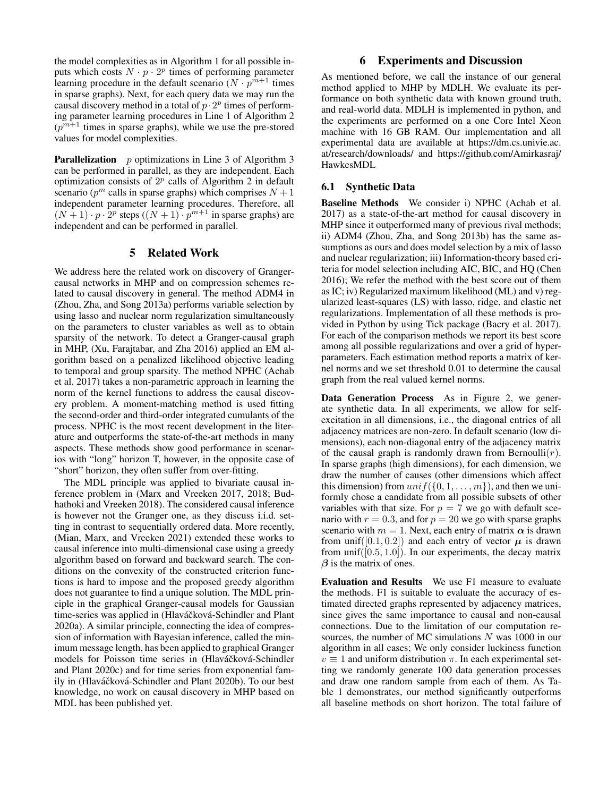the model complexities as in Algorithm 1 for all possible inputs which costs  $N \cdot p \cdot 2^p$  times of performing parameter learning procedure in the default scenario ( $N \cdot p^{m+1}$  times in sparse graphs). Next, for each query data we may run the causal discovery method in a total of  $p \cdot 2^p$  times of performing parameter learning procedures in Line 1 of Algorithm 2  $(p^{m+1}$  times in sparse graphs), while we use the pre-stored values for model complexities.

**Parallelization** p optimizations in Line 3 of Algorithm 3 can be performed in parallel, as they are independent. Each optimization consists of  $2^p$  calls of Algorithm 2 in default scenario ( $p^m$  calls in sparse graphs) which comprises  $N + 1$ independent parameter learning procedures. Therefore, all  $(N+1) \cdot p \cdot 2^p$  steps  $((N+1) \cdot p^{m+1})$  in sparse graphs) are independent and can be performed in parallel.

## 5 Related Work

We address here the related work on discovery of Grangercausal networks in MHP and on compression schemes related to causal discovery in general. The method ADM4 in (Zhou, Zha, and Song 2013a) performs variable selection by using lasso and nuclear norm regularization simultaneously on the parameters to cluster variables as well as to obtain sparsity of the network. To detect a Granger-causal graph in MHP, (Xu, Farajtabar, and Zha 2016) applied an EM algorithm based on a penalized likelihood objective leading to temporal and group sparsity. The method NPHC (Achab et al. 2017) takes a non-parametric approach in learning the norm of the kernel functions to address the causal discovery problem. A moment-matching method is used fitting the second-order and third-order integrated cumulants of the process. NPHC is the most recent development in the literature and outperforms the state-of-the-art methods in many aspects. These methods show good performance in scenarios with "long" horizon T, however, in the opposite case of "short" horizon, they often suffer from over-fitting.

The MDL principle was applied to bivariate causal inference problem in (Marx and Vreeken 2017, 2018; Budhathoki and Vreeken 2018). The considered causal inference is however not the Granger one, as they discuss i.i.d. setting in contrast to sequentially ordered data. More recently, (Mian, Marx, and Vreeken 2021) extended these works to causal inference into multi-dimensional case using a greedy algorithm based on forward and backward search. The conditions on the convexity of the constructed criterion functions is hard to impose and the proposed greedy algorithm does not guarantee to find a unique solution. The MDL principle in the graphical Granger-causal models for Gaussian time-series was applied in (Hlaváčková-Schindler and Plant 2020a). A similar principle, connecting the idea of compression of information with Bayesian inference, called the minimum message length, has been applied to graphical Granger models for Poisson time series in (Hlaváčková-Schindler and Plant 2020c) and for time series from exponential family in (Hlaváčková-Schindler and Plant 2020b). To our best knowledge, no work on causal discovery in MHP based on MDL has been published yet.

# 6 Experiments and Discussion

As mentioned before, we call the instance of our general method applied to MHP by MDLH. We evaluate its performance on both synthetic data with known ground truth, and real-world data. MDLH is implemented in python, and the experiments are performed on a one Core Intel Xeon machine with 16 GB RAM. Our implementation and all experimental data are available at https://dm.cs.univie.ac. at/research/downloads/ and https://github.com/Amirkasraj/ HawkesMDL

# 6.1 Synthetic Data

Baseline Methods We consider i) NPHC (Achab et al. 2017) as a state-of-the-art method for causal discovery in MHP since it outperformed many of previous rival methods; ii) ADM4 (Zhou, Zha, and Song 2013b) has the same assumptions as ours and does model selection by a mix of lasso and nuclear regularization; iii) Information-theory based criteria for model selection including AIC, BIC, and HQ (Chen 2016); We refer the method with the best score out of them as IC; iv) Regularized maximum likelihood (ML) and v) regularized least-squares (LS) with lasso, ridge, and elastic net regularizations. Implementation of all these methods is provided in Python by using Tick package (Bacry et al. 2017). For each of the comparison methods we report its best score among all possible regularizations and over a grid of hyperparameters. Each estimation method reports a matrix of kernel norms and we set threshold 0.01 to determine the causal graph from the real valued kernel norms.

Data Generation Process As in Figure 2, we generate synthetic data. In all experiments, we allow for selfexcitation in all dimensions, i.e., the diagonal entries of all adjacency matrices are non-zero. In default scenario (low dimensions), each non-diagonal entry of the adjacency matrix of the causal graph is randomly drawn from Bernoulli $(r)$ . In sparse graphs (high dimensions), for each dimension, we draw the number of causes (other dimensions which affect this dimension) from  $unif({0, 1, \ldots, m})$ , and then we uniformly chose a candidate from all possible subsets of other variables with that size. For  $p = 7$  we go with default scenario with  $r = 0.3$ , and for  $p = 20$  we go with sparse graphs scenario with  $m = 1$ . Next, each entry of matrix  $\alpha$  is drawn from unif([0.1, 0.2]) and each entry of vector  $\mu$  is drawn from unif( $[0.5, 1.0]$ ). In our experiments, the decay matrix  $\beta$  is the matrix of ones.

Evaluation and Results We use F1 measure to evaluate the methods. F1 is suitable to evaluate the accuracy of estimated directed graphs represented by adjacency matrices, since gives the same importance to causal and non-causal connections. Due to the limitation of our computation resources, the number of MC simulations  $N$  was 1000 in our algorithm in all cases; We only consider luckiness function  $v \equiv 1$  and uniform distribution  $\pi$ . In each experimental setting we randomly generate 100 data generation processes and draw one random sample from each of them. As Table 1 demonstrates, our method significantly outperforms all baseline methods on short horizon. The total failure of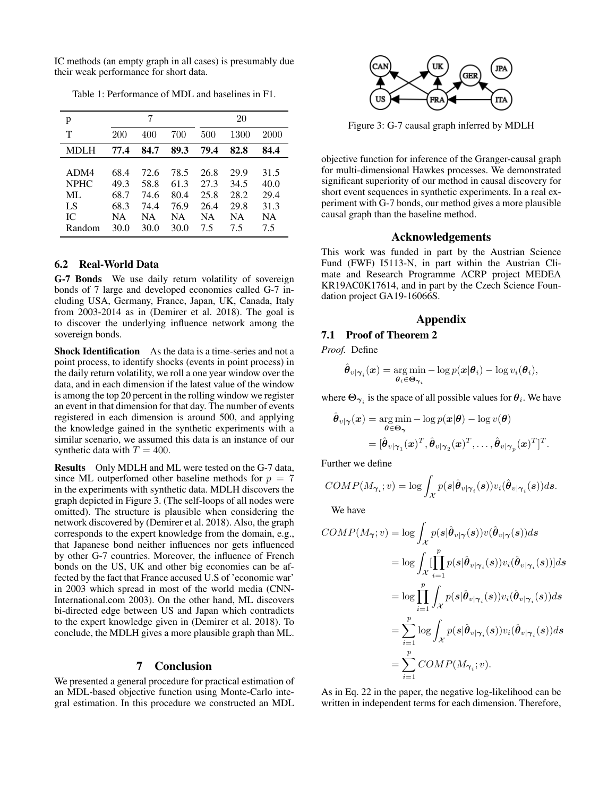IC methods (an empty graph in all cases) is presumably due their weak performance for short data.

| p                                               |                                                   |                                                   |                                            |                                                 | 20                                        |                                          |
|-------------------------------------------------|---------------------------------------------------|---------------------------------------------------|--------------------------------------------|-------------------------------------------------|-------------------------------------------|------------------------------------------|
| т                                               | 200                                               | 400                                               | 700                                        | 500                                             | 1300                                      | 2000                                     |
| MDLH                                            | 77.4                                              | 84.7                                              | 89.3                                       | 79.4                                            | 82.8                                      | 84.4                                     |
| ADM4<br><b>NPHC</b><br>ML<br>LS<br>IС<br>Random | 68.4<br>49.3<br>68.7<br>68.3<br><b>NA</b><br>30.0 | 72.6<br>58.8<br>74.6<br>74.4<br><b>NA</b><br>30.0 | 78.5<br>61.3<br>80.4<br>76.9<br>NА<br>30.0 | 26.8<br>27.3<br>25.8<br>26.4<br><b>NA</b><br>75 | 29.9<br>34.5<br>28.2<br>29.8<br>NΑ<br>7.5 | 31.5<br>40.0<br>29.4<br>31.3<br>NA<br>75 |

Table 1: Performance of MDL and baselines in F1.

# 6.2 Real-World Data

G-7 Bonds We use daily return volatility of sovereign bonds of 7 large and developed economies called G-7 including USA, Germany, France, Japan, UK, Canada, Italy from 2003-2014 as in (Demirer et al. 2018). The goal is to discover the underlying influence network among the sovereign bonds.

Shock Identification As the data is a time-series and not a point process, to identify shocks (events in point process) in the daily return volatility, we roll a one year window over the data, and in each dimension if the latest value of the window is among the top 20 percent in the rolling window we register an event in that dimension for that day. The number of events registered in each dimension is around 500, and applying the knowledge gained in the synthetic experiments with a similar scenario, we assumed this data is an instance of our synthetic data with  $T = 400$ .

Results Only MDLH and ML were tested on the G-7 data, since ML outperfomed other baseline methods for  $p = 7$ in the experiments with synthetic data. MDLH discovers the graph depicted in Figure 3. (The self-loops of all nodes were omitted). The structure is plausible when considering the network discovered by (Demirer et al. 2018). Also, the graph corresponds to the expert knowledge from the domain, e.g., that Japanese bond neither influences nor gets influenced by other G-7 countries. Moreover, the influence of French bonds on the US, UK and other big economies can be affected by the fact that France accused U.S of 'economic war' in 2003 which spread in most of the world media (CNN-International.com 2003). On the other hand, ML discovers bi-directed edge between US and Japan which contradicts to the expert knowledge given in (Demirer et al. 2018). To conclude, the MDLH gives a more plausible graph than ML.

# 7 Conclusion

We presented a general procedure for practical estimation of an MDL-based objective function using Monte-Carlo integral estimation. In this procedure we constructed an MDL



Figure 3: G-7 causal graph inferred by MDLH

objective function for inference of the Granger-causal graph for multi-dimensional Hawkes processes. We demonstrated significant superiority of our method in causal discovery for short event sequences in synthetic experiments. In a real experiment with G-7 bonds, our method gives a more plausible causal graph than the baseline method.

### Acknowledgements

This work was funded in part by the Austrian Science Fund (FWF) I5113-N, in part within the Austrian Climate and Research Programme ACRP project MEDEA KR19AC0K17614, and in part by the Czech Science Foundation project GA19-16066S.

### Appendix

### 7.1 Proof of Theorem 2

*Proof.* Define

$$
\hat{\boldsymbol{\theta}}_{v|\boldsymbol{\gamma}_i}(\boldsymbol{x}) = \argmin_{\boldsymbol{\theta}_i \in \boldsymbol{\Theta}_{\boldsymbol{\gamma}_i}} -\log p(\boldsymbol{x}|\boldsymbol{\theta}_i) - \log v_i(\boldsymbol{\theta}_i),
$$

where  $\Theta_{\gamma_i}$  is the space of all possible values for  $\theta_i$ . We have

$$
\hat{\boldsymbol{\theta}}_{v|\boldsymbol{\gamma}}(\boldsymbol{x}) = \operatorname*{arg\,min}_{\boldsymbol{\theta} \in \boldsymbol{\Theta}_{\boldsymbol{\gamma}}} -\log p(\boldsymbol{x}|\boldsymbol{\theta}) - \log v(\boldsymbol{\theta}) \n= [\hat{\boldsymbol{\theta}}_{v|\boldsymbol{\gamma}_1}(\boldsymbol{x})^T, \hat{\boldsymbol{\theta}}_{v|\boldsymbol{\gamma}_2}(\boldsymbol{x})^T, \dots, \hat{\boldsymbol{\theta}}_{v|\boldsymbol{\gamma}_p}(\boldsymbol{x})^T]^T.
$$

Further we define

$$
COMP(M_{\boldsymbol{\gamma}_i};v)=\log\int_{\mathcal{X}}p(s|\hat{\boldsymbol{\theta}}_{v|\boldsymbol{\gamma}_i}(s))v_i(\hat{\boldsymbol{\theta}}_{v|\boldsymbol{\gamma}_i}(s))ds.
$$

We have

$$
COMP(M_{\gamma};v) = \log \int_{\mathcal{X}} p(s|\hat{\theta}_{v|\gamma}(s))v(\hat{\theta}_{v|\gamma}(s))ds
$$
  
\n
$$
= \log \int_{\mathcal{X}} \prod_{i=1}^{p} p(s|\hat{\theta}_{v|\gamma_{i}}(s))v_{i}(\hat{\theta}_{v|\gamma_{i}}(s))]ds
$$
  
\n
$$
= \log \prod_{i=1}^{p} \int_{\mathcal{X}} p(s|\hat{\theta}_{v|\gamma_{i}}(s))v_{i}(\hat{\theta}_{v|\gamma_{i}}(s))ds
$$
  
\n
$$
= \sum_{i=1}^{p} \log \int_{\mathcal{X}} p(s|\hat{\theta}_{v|\gamma_{i}}(s))v_{i}(\hat{\theta}_{v|\gamma_{i}}(s))ds
$$
  
\n
$$
= \sum_{i=1}^{p} COMP(M_{\gamma_{i}}; v).
$$

As in Eq. 22 in the paper, the negative log-likelihood can be written in independent terms for each dimension. Therefore,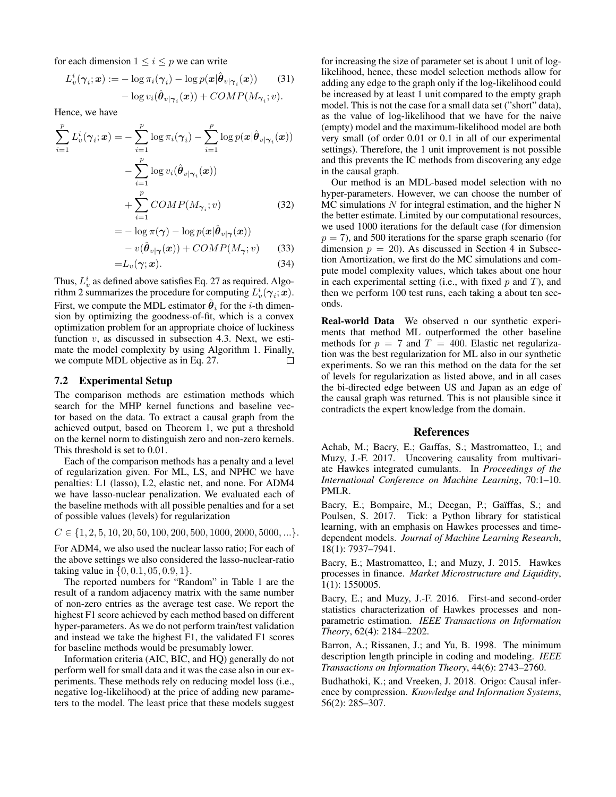for each dimension  $1 \leq i \leq p$  we can write

$$
L_v^i(\boldsymbol{\gamma}_i; \boldsymbol{x}) := -\log \pi_i(\boldsymbol{\gamma}_i) - \log p(\boldsymbol{x}|\hat{\boldsymbol{\theta}}_{v|\boldsymbol{\gamma}_i}(\boldsymbol{x})) \qquad (31)
$$

$$
- \log v_i(\hat{\boldsymbol{\theta}}_{v|\boldsymbol{\gamma}_i}(\boldsymbol{x})) + COMP(M_{\boldsymbol{\gamma}_i}; v).
$$

Hence, we have

$$
\sum_{i=1}^{p} L_v^i(\gamma_i; \mathbf{x}) = -\sum_{i=1}^{p} \log \pi_i(\gamma_i) - \sum_{i=1}^{p} \log p(\mathbf{x}|\hat{\boldsymbol{\theta}}_{v|\gamma_i}(\mathbf{x}))
$$

$$
- \sum_{i=1}^{p} \log v_i(\hat{\boldsymbol{\theta}}_{v|\gamma_i}(\mathbf{x}))
$$

$$
+ \sum_{i=1}^{p} COMP(M_{\gamma_i}; v)
$$
(32)

$$
= -\log \pi(\boldsymbol{\gamma}) - \log p(\boldsymbol{x}|\hat{\boldsymbol{\theta}}_{v|\boldsymbol{\gamma}}(\boldsymbol{x}))
$$

$$
- v(\hat{\boldsymbol{\theta}}_{v|\boldsymbol{\gamma}}(\boldsymbol{x})) + COMP(M_{\boldsymbol{\gamma}}; v) \qquad (33)
$$

$$
=L_v(\gamma; \mathbf{x}).\tag{34}
$$

Thus,  $L_v^i$  as defined above satisfies Eq. 27 as required. Algorithm 2 summarizes the procedure for computing  $L_v^i(\gamma_i; \mathbf{x})$ . First, we compute the MDL estimator  $\hat{\boldsymbol{\theta}}_i$  for the *i*-th dimension by optimizing the goodness-of-fit, which is a convex optimization problem for an appropriate choice of luckiness function  $v$ , as discussed in subsection 4.3. Next, we estimate the model complexity by using Algorithm 1. Finally, we compute MDL objective as in Eq. 27.  $\Box$ 

### 7.2 Experimental Setup

The comparison methods are estimation methods which search for the MHP kernel functions and baseline vector based on the data. To extract a causal graph from the achieved output, based on Theorem 1, we put a threshold on the kernel norm to distinguish zero and non-zero kernels. This threshold is set to 0.01.

Each of the comparison methods has a penalty and a level of regularization given. For ML, LS, and NPHC we have penalties: L1 (lasso), L2, elastic net, and none. For ADM4 we have lasso-nuclear penalization. We evaluated each of the baseline methods with all possible penalties and for a set of possible values (levels) for regularization

 $C \in \{1, 2, 5, 10, 20, 50, 100, 200, 500, 1000, 2000, 5000, ...\}.$ 

For ADM4, we also used the nuclear lasso ratio; For each of the above settings we also considered the lasso-nuclear-ratio taking value in  $\{0, 0.1, 05, 0.9, 1\}.$ 

The reported numbers for "Random" in Table 1 are the result of a random adjacency matrix with the same number of non-zero entries as the average test case. We report the highest F1 score achieved by each method based on different hyper-parameters. As we do not perform train/test validation and instead we take the highest F1, the validated F1 scores for baseline methods would be presumably lower.

Information criteria (AIC, BIC, and HQ) generally do not perform well for small data and it was the case also in our experiments. These methods rely on reducing model loss (i.e., negative log-likelihood) at the price of adding new parameters to the model. The least price that these models suggest

for increasing the size of parameter set is about 1 unit of loglikelihood, hence, these model selection methods allow for adding any edge to the graph only if the log-likelihood could be increased by at least 1 unit compared to the empty graph model. This is not the case for a small data set ("short" data), as the value of log-likelihood that we have for the naive (empty) model and the maximum-likelihood model are both very small (of order 0.01 or 0.1 in all of our experimental settings). Therefore, the 1 unit improvement is not possible and this prevents the IC methods from discovering any edge in the causal graph.

Our method is an MDL-based model selection with no hyper-parameters. However, we can choose the number of  $MC$  simulations  $N$  for integral estimation, and the higher  $N$ the better estimate. Limited by our computational resources, we used 1000 iterations for the default case (for dimension  $p = 7$ ), and 500 iterations for the sparse graph scenario (for dimension  $p = 20$ ). As discussed in Section 4 in Subsection Amortization, we first do the MC simulations and compute model complexity values, which takes about one hour in each experimental setting (i.e., with fixed  $p$  and  $T$ ), and then we perform 100 test runs, each taking a about ten seconds.

Real-world Data We observed n our synthetic experiments that method ML outperformed the other baseline methods for  $p = 7$  and  $T = 400$ . Elastic net regularization was the best regularization for ML also in our synthetic experiments. So we ran this method on the data for the set of levels for regularization as listed above, and in all cases the bi-directed edge between US and Japan as an edge of the causal graph was returned. This is not plausible since it contradicts the expert knowledge from the domain.

# References

Achab, M.; Bacry, E.; Gaıffas, S.; Mastromatteo, I.; and Muzy, J.-F. 2017. Uncovering causality from multivariate Hawkes integrated cumulants. In *Proceedings of the International Conference on Machine Learning*, 70:1–10. PMLR.

Bacry, E.; Bompaire, M.; Deegan, P.; Gaïffas, S.; and Poulsen, S. 2017. Tick: a Python library for statistical learning, with an emphasis on Hawkes processes and timedependent models. *Journal of Machine Learning Research*, 18(1): 7937–7941.

Bacry, E.; Mastromatteo, I.; and Muzy, J. 2015. Hawkes processes in finance. *Market Microstructure and Liquidity*, 1(1): 1550005.

Bacry, E.; and Muzy, J.-F. 2016. First-and second-order statistics characterization of Hawkes processes and nonparametric estimation. *IEEE Transactions on Information Theory*, 62(4): 2184–2202.

Barron, A.; Rissanen, J.; and Yu, B. 1998. The minimum description length principle in coding and modeling. *IEEE Transactions on Information Theory*, 44(6): 2743–2760.

Budhathoki, K.; and Vreeken, J. 2018. Origo: Causal inference by compression. *Knowledge and Information Systems*, 56(2): 285–307.